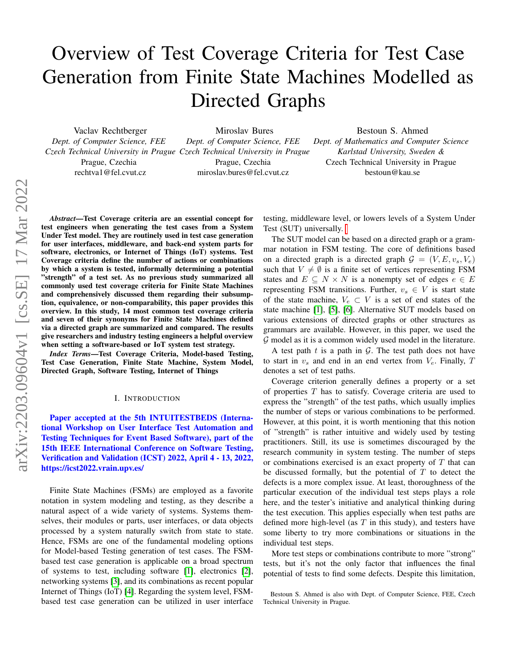# Overview of Test Coverage Criteria for Test Case Generation from Finite State Machines Modelled as Directed Graphs

Vaclav Rechtberger *Dept. of Computer Science, FEE* Prague, Czechia rechtva1@fel.cvut.cz

*Czech Technical University in Prague Czech Technical University in Prague* Miroslav Bures *Dept. of Computer Science, FEE* Prague, Czechia miroslav.bures@fel.cvut.cz

Bestoun S. Ahmed *Dept. of Mathematics and Computer Science Karlstad University, Sweden &* Czech Technical University in Prague bestoun@kau.se

*Abstract*—Test Coverage criteria are an essential concept for test engineers when generating the test cases from a System Under Test model. They are routinely used in test case generation for user interfaces, middleware, and back-end system parts for software, electronics, or Internet of Things (IoT) systems. Test Coverage criteria define the number of actions or combinations by which a system is tested, informally determining a potential "strength" of a test set. As no previous study summarized all commonly used test coverage criteria for Finite State Machines and comprehensively discussed them regarding their subsumption, equivalence, or non-comparability, this paper provides this overview. In this study, 14 most common test coverage criteria and seven of their synonyms for Finite State Machines defined via a directed graph are summarized and compared. The results give researchers and industry testing engineers a helpful overview when setting a software-based or IoT system test strategy.

*Index Terms*—Test Coverage Criteria, Model-based Testing, Test Case Generation, Finite State Machine, System Model, Directed Graph, Software Testing, Internet of Things

#### I. INTRODUCTION

Paper accepted at the 5th INTUITESTBEDS (International Workshop on User Interface Test Automation and Testing Techniques for Event Based Software), part of the 15th IEEE International Conference on Software Testing, Verification and Validation (ICST) 2022, April 4 - 13, 2022, https://icst2022.vrain.upv.es/

Finite State Machines (FSMs) are employed as a favorite notation in system modeling and testing, as they describe a natural aspect of a wide variety of systems. Systems themselves, their modules or parts, user interfaces, or data objects processed by a system naturally switch from state to state. Hence, FSMs are one of the fundamental modeling options for Model-based Testing generation of test cases. The FSMbased test case generation is applicable on a broad spectrum of systems to test, including software [\[1\]](#page-6-0), electronics [\[2\]](#page-6-1), networking systems [\[3\]](#page-6-2), and its combinations as recent popular Internet of Things (IoT) [\[4\]](#page-7-0). Regarding the system level, FSMbased test case generation can be utilized in user interface testing, middleware level, or lowers levels of a System Under Test (SUT) universally.

The SUT model can be based on a directed graph or a grammar notation in FSM testing. The core of definitions based on a directed graph is a directed graph  $G = (V, E, v_s, V_e)$ such that  $V \neq \emptyset$  is a finite set of vertices representing FSM states and  $E \subseteq N \times N$  is a nonempty set of edges  $e \in E$ representing FSM transitions. Further,  $v_s \in V$  is start state of the state machine,  $V_e \subset V$  is a set of end states of the state machine [\[1\]](#page-6-0), [\[5\]](#page-7-1), [\[6\]](#page-7-2). Alternative SUT models based on various extensions of directed graphs or other structures as grammars are available. However, in this paper, we used the  $G$  model as it is a common widely used model in the literature.

A test path  $t$  is a path in  $\mathcal{G}$ . The test path does not have to start in  $v_s$  and end in an end vertex from  $V_e$ . Finally, T denotes a set of test paths.

Coverage criterion generally defines a property or a set of properties  $T$  has to satisfy. Coverage criteria are used to express the "strength" of the test paths, which usually implies the number of steps or various combinations to be performed. However, at this point, it is worth mentioning that this notion of "strength" is rather intuitive and widely used by testing practitioners. Still, its use is sometimes discouraged by the research community in system testing. The number of steps or combinations exercised is an exact property of  $T$  that can be discussed formally, but the potential of  $T$  to detect the defects is a more complex issue. At least, thoroughness of the particular execution of the individual test steps plays a role here, and the tester's initiative and analytical thinking during the test execution. This applies especially when test paths are defined more high-level (as  $T$  in this study), and testers have some liberty to try more combinations or situations in the individual test steps.

More test steps or combinations contribute to more "strong" tests, but it's not the only factor that influences the final potential of tests to find some defects. Despite this limitation,

Bestoun S. Ahmed is also with Dept. of Computer Science, FEE, Czech Technical University in Prague.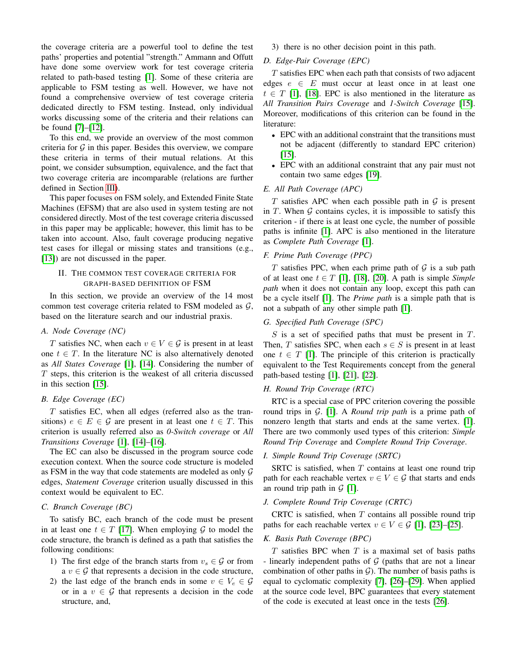the coverage criteria are a powerful tool to define the test paths' properties and potential "strength." Ammann and Offutt have done some overview work for test coverage criteria related to path-based testing [\[1\]](#page-6-0). Some of these criteria are applicable to FSM testing as well. However, we have not found a comprehensive overview of test coverage criteria dedicated directly to FSM testing. Instead, only individual works discussing some of the criteria and their relations can be found [\[7\]](#page-7-3)–[\[12\]](#page-7-4).

To this end, we provide an overview of the most common criteria for  $G$  in this paper. Besides this overview, we compare these criteria in terms of their mutual relations. At this point, we consider subsumption, equivalence, and the fact that two coverage criteria are incomparable (relations are further defined in Section [III\)](#page-2-0).

This paper focuses on FSM solely, and Extended Finite State Machines (EFSM) that are also used in system testing are not considered directly. Most of the test coverage criteria discussed in this paper may be applicable; however, this limit has to be taken into account. Also, fault coverage producing negative test cases for illegal or missing states and transitions (e.g., [\[13\]](#page-7-5)) are not discussed in the paper.

## <span id="page-1-0"></span>II. THE COMMON TEST COVERAGE CRITERIA FOR GRAPH-BASED DEFINITION OF FSM

In this section, we provide an overview of the 14 most common test coverage criteria related to FSM modeled as  $G$ , based on the literature search and our industrial praxis.

#### *A. Node Coverage (NC)*

T satisfies NC, when each  $v \in V \in \mathcal{G}$  is present in at least one  $t \in T$ . In the literature NC is also alternatively denoted as *All States Coverage* [\[1\]](#page-6-0), [\[14\]](#page-7-6). Considering the number of  $T$  steps, this criterion is the weakest of all criteria discussed in this section [\[15\]](#page-7-7).

## *B. Edge Coverage (EC)*

 $T$  satisfies EC, when all edges (referred also as the transitions)  $e \in E \in \mathcal{G}$  are present in at least one  $t \in T$ . This criterion is usually referred also as *0-Switch coverage* or *All Transitions Coverage* [\[1\]](#page-6-0), [\[14\]](#page-7-6)–[\[16\]](#page-7-8).

The EC can also be discussed in the program source code execution context. When the source code structure is modeled as FSM in the way that code statements are modeled as only  $G$ edges, *Statement Coverage* criterion usually discussed in this context would be equivalent to EC.

#### *C. Branch Coverage (BC)*

To satisfy BC, each branch of the code must be present in at least one  $t \in T$  [\[17\]](#page-7-9). When employing G to model the code structure, the branch is defined as a path that satisfies the following conditions:

- 1) The first edge of the branch starts from  $v_s \in \mathcal{G}$  or from a  $v \in \mathcal{G}$  that represents a decision in the code structure,
- 2) the last edge of the branch ends in some  $v \in V_e \in \mathcal{G}$ or in a  $v \in \mathcal{G}$  that represents a decision in the code structure, and,

3) there is no other decision point in this path.

#### *D. Edge-Pair Coverage (EPC)*

T satisfies EPC when each path that consists of two adjacent edges  $e \in E$  must occur at least once in at least one  $t \in T$  [\[1\]](#page-6-0), [\[18\]](#page-7-10). EPC is also mentioned in the literature as *All Transition Pairs Coverage* and *1-Switch Coverage* [\[15\]](#page-7-7). Moreover, modifications of this criterion can be found in the literature:

- EPC with an additional constraint that the transitions must not be adjacent (differently to standard EPC criterion) [\[15\]](#page-7-7).
- EPC with an additional constraint that any pair must not contain two same edges [\[19\]](#page-7-11).

## *E. All Path Coverage (APC)*

 $T$  satisfies APC when each possible path in  $G$  is present in  $T$ . When  $G$  contains cycles, it is impossible to satisfy this criterion - if there is at least one cycle, the number of possible paths is infinite [\[1\]](#page-6-0). APC is also mentioned in the literature as *Complete Path Coverage* [\[1\]](#page-6-0).

## *F. Prime Path Coverage (PPC)*

 $T$  satisfies PPC, when each prime path of  $G$  is a sub path of at least one  $t \in T$  [\[1\]](#page-6-0), [\[18\]](#page-7-10), [\[20\]](#page-7-12). A path is simple *Simple path* when it does not contain any loop, except this path can be a cycle itself [\[1\]](#page-6-0). The *Prime path* is a simple path that is not a subpath of any other simple path [\[1\]](#page-6-0).

#### *G. Specified Path Coverage (SPC)*

 $S$  is a set of specified paths that must be present in  $T$ . Then, T satisfies SPC, when each  $s \in S$  is present in at least one  $t \in T$  [\[1\]](#page-6-0). The principle of this criterion is practically equivalent to the Test Requirements concept from the general path-based testing [\[1\]](#page-6-0), [\[21\]](#page-7-13), [\[22\]](#page-7-14).

## *H. Round Trip Coverage (RTC)*

RTC is a special case of PPC criterion covering the possible round trips in G. [\[1\]](#page-6-0). A *Round trip path* is a prime path of nonzero length that starts and ends at the same vertex. [\[1\]](#page-6-0). There are two commonly used types of this criterion: *Simple Round Trip Coverage* and *Complete Round Trip Coverage*.

## <span id="page-1-1"></span>*I. Simple Round Trip Coverage (SRTC)*

SRTC is satisfied, when  $T$  contains at least one round trip path for each reachable vertex  $v \in V \in \mathcal{G}$  that starts and ends an round trip path in  $\mathcal{G}$  [\[1\]](#page-6-0).

## <span id="page-1-2"></span>*J. Complete Round Trip Coverage (CRTC)*

CRTC is satisfied, when  $T$  contains all possible round trip paths for each reachable vertex  $v \in V \in \mathcal{G}$  [\[1\]](#page-6-0), [\[23\]](#page-7-15)–[\[25\]](#page-7-16).

## *K. Basis Path Coverage (BPC)*

 $T$  satisfies BPC when  $T$  is a maximal set of basis paths - linearly independent paths of  $G$  (paths that are not a linear combination of other paths in  $G$ ). The number of basis paths is equal to cyclomatic complexity [\[7\]](#page-7-3), [\[26\]](#page-7-17)–[\[29\]](#page-7-18). When applied at the source code level, BPC guarantees that every statement of the code is executed at least once in the tests [\[26\]](#page-7-17).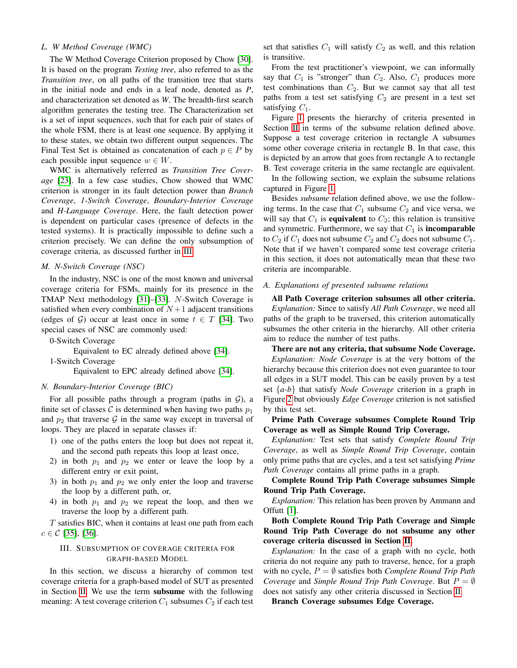## <span id="page-2-1"></span>*L. W Method Coverage (WMC)*

The W Method Coverage Criterion proposed by Chow [\[30\]](#page-7-19). It is based on the program *Testing tree*, also referred to as the *Transition tree*, on all paths of the transition tree that starts in the initial node and ends in a leaf node, denoted as *P*, and characterization set denoted as *W*. The breadth-first search algorithm generates the testing tree. The Characterization set is a set of input sequences, such that for each pair of states of the whole FSM, there is at least one sequence. By applying it to these states, we obtain two different output sequences. The Final Test Set is obtained as concatenation of each  $p \in P$  by each possible input sequence  $w \in W$ .

WMC is alternatively referred as *Transition Tree Coverage* [\[23\]](#page-7-15). In a few case studies, Chow showed that WMC criterion is stronger in its fault detection power than *Branch Coverage*, *1-Switch Coverage*, *Boundary-Interior Coverage* and *H-Language Coverage*. Here, the fault detection power is dependent on particular cases (presence of defects in the tested systems). It is practically impossible to define such a criterion precisely. We can define the only subsumption of coverage criteria, as discussed further in [III.](#page-2-0)

### *M. N-Switch Coverage (NSC)*

In the industry, NSC is one of the most known and universal coverage criteria for FSMs, mainly for its presence in the TMAP Next methodology [\[31\]](#page-7-20)–[\[33\]](#page-7-21). N-Switch Coverage is satisfied when every combination of  $N+1$  adjacent transitions (edges of G) occur at least once in some  $t \in T$  [\[34\]](#page-7-22). Two special cases of NSC are commonly used:

0-Switch Coverage

Equivalent to EC already defined above [\[34\]](#page-7-22). 1-Switch Coverage

Equivalent to EPC already defined above [\[34\]](#page-7-22).

#### *N. Boundary-Interior Coverage (BIC)*

For all possible paths through a program (paths in  $G$ ), a finite set of classes C is determined when having two paths  $p_1$ and  $p_2$  that traverse  $\mathcal G$  in the same way except in traversal of loops. They are placed in separate classes if:

- 1) one of the paths enters the loop but does not repeat it, and the second path repeats this loop at least once,
- 2) in both  $p_1$  and  $p_2$  we enter or leave the loop by a different entry or exit point,
- 3) in both  $p_1$  and  $p_2$  we only enter the loop and traverse the loop by a different path, or,
- 4) in both  $p_1$  and  $p_2$  we repeat the loop, and then we traverse the loop by a different path.

 $T$  satisfies BIC, when it contains at least one path from each  $c \in C$  [\[35\]](#page-7-23), [\[36\]](#page-7-24).

## <span id="page-2-0"></span>III. SUBSUMPTION OF COVERAGE CRITERIA FOR GRAPH-BASED MODEL

In this section, we discuss a hierarchy of common test coverage criteria for a graph-based model of SUT as presented in Section [II.](#page-1-0) We use the term subsume with the following meaning: A test coverage criterion  $C_1$  subsumes  $C_2$  if each test set that satisfies  $C_1$  will satisfy  $C_2$  as well, and this relation is transitive.

From the test practitioner's viewpoint, we can informally say that  $C_1$  is "stronger" than  $C_2$ . Also,  $C_1$  produces more test combinations than  $C_2$ . But we cannot say that all test paths from a test set satisfying  $C_2$  are present in a test set satisfying  $C_1$ .

Figure [1](#page-3-0) presents the hierarchy of criteria presented in Section [II](#page-1-0) in terms of the subsume relation defined above. Suppose a test coverage criterion in rectangle A subsumes some other coverage criteria in rectangle B. In that case, this is depicted by an arrow that goes from rectangle A to rectangle B. Test coverage criteria in the same rectangle are equivalent.

In the following section, we explain the subsume relations captured in Figure [1.](#page-3-0)

Besides *subsume* relation defined above, we use the following terms. In the case that  $C_1$  subsume  $C_2$  and vice versa, we will say that  $C_1$  is **equivalent** to  $C_2$ ; this relation is transitive and symmetric. Furthermore, we say that  $C_1$  is **incomparable** to  $C_2$  if  $C_1$  does not subsume  $C_2$  and  $C_2$  does not subsume  $C_1$ . Note that if we haven't compared some test coverage criteria in this section, it does not automatically mean that these two criteria are incomparable.

# *A. Explanations of presented subsume relations*

All Path Coverage criterion subsumes all other criteria. *Explanation:* Since to satisfy *All Path Coverage*, we need all paths of the graph to be traversed, this criterion automatically subsumes the other criteria in the hierarchy. All other criteria aim to reduce the number of test paths.

There are not any criteria, that subsume Node Coverage. *Explanation: Node Coverage* is at the very bottom of the hierarchy because this criterion does not even guarantee to tour all edges in a SUT model. This can be easily proven by a test set {*a-b*} that satisfy *Node Coverage* criterion in a graph in Figure [2](#page-3-1) but obviously *Edge Coverage* criterion is not satisfied by this test set.

Prime Path Coverage subsumes Complete Round Trip Coverage as well as Simple Round Trip Coverage.

*Explanation:* Test sets that satisfy *Complete Round Trip Coverage*, as well as *Simple Round Trip Coverage*, contain only prime paths that are cycles, and a test set satisfying *Prime Path Coverage* contains all prime paths in a graph.

Complete Round Trip Path Coverage subsumes Simple Round Trip Path Coverage.

*Explanation:* This relation has been proven by Ammann and Offutt [\[1\]](#page-6-0).

Both Complete Round Trip Path Coverage and Simple Round Trip Path Coverage do not subsume any other coverage criteria discussed in Section [II.](#page-1-0)

*Explanation:* In the case of a graph with no cycle, both criteria do not require any path to traverse, hence, for a graph with no cycle,  $P = \emptyset$  satisfies both *Complete Round Trip Path Coverage* and *Simple Round Trip Path Coverage*. But  $P = \emptyset$ does not satisfy any other criteria discussed in Section [II.](#page-1-0)

Branch Coverage subsumes Edge Coverage.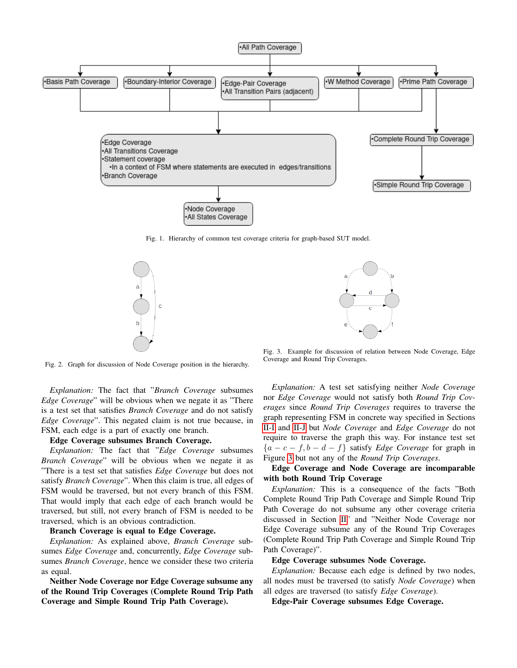

<span id="page-3-0"></span>Fig. 1. Hierarchy of common test coverage criteria for graph-based SUT model.





<span id="page-3-2"></span>Fig. 3. Example for discussion of relation between Node Coverage, Edge

Coverage and Round Trip Coverages.

<span id="page-3-1"></span>Fig. 2. Graph for discussion of Node Coverage position in the hierarchy.

*Explanation:* The fact that "*Branch Coverage* subsumes *Edge Coverage*" will be obvious when we negate it as "There is a test set that satisfies *Branch Coverage* and do not satisfy *Edge Coverage*". This negated claim is not true because, in FSM, each edge is a part of exactly one branch.

## Edge Coverage subsumes Branch Coverage.

*Explanation:* The fact that "*Edge Coverage* subsumes *Branch Coverage*" will be obvious when we negate it as "There is a test set that satisfies *Edge Coverage* but does not satisfy *Branch Coverage*". When this claim is true, all edges of FSM would be traversed, but not every branch of this FSM. That would imply that each edge of each branch would be traversed, but still, not every branch of FSM is needed to be traversed, which is an obvious contradiction.

#### Branch Coverage is equal to Edge Coverage.

*Explanation:* As explained above, *Branch Coverage* subsumes *Edge Coverage* and, concurrently, *Edge Coverage* subsumes *Branch Coverage*, hence we consider these two criteria as equal.

Neither Node Coverage nor Edge Coverage subsume any of the Round Trip Coverages (Complete Round Trip Path Coverage and Simple Round Trip Path Coverage).

*Explanation:* A test set satisfying neither *Node Coverage* nor *Edge Coverage* would not satisfy both *Round Trip Coverages* since *Round Trip Coverages* requires to traverse the graph representing FSM in concrete way specified in Sections [II-I](#page-1-1) and [II-J](#page-1-2) but *Node Coverage* and *Edge Coverage* do not require to traverse the graph this way. For instance test set  ${a - c - f, b - d - f}$  satisfy *Edge Coverage* for graph in Figure [3](#page-3-2) but not any of the *Round Trip Coverages*.

# Edge Coverage and Node Coverage are incomparable with both Round Trip Coverage

*Explanation:* This is a consequence of the facts "Both Complete Round Trip Path Coverage and Simple Round Trip Path Coverage do not subsume any other coverage criteria discussed in Section [II"](#page-1-0) and "Neither Node Coverage nor Edge Coverage subsume any of the Round Trip Coverages (Complete Round Trip Path Coverage and Simple Round Trip Path Coverage)".

#### Edge Coverage subsumes Node Coverage.

*Explanation:* Because each edge is defined by two nodes, all nodes must be traversed (to satisfy *Node Coverage*) when all edges are traversed (to satisfy *Edge Coverage*).

Edge-Pair Coverage subsumes Edge Coverage.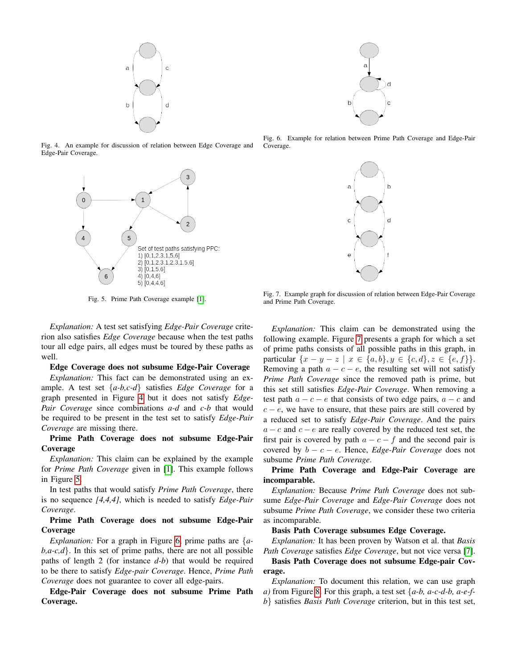

Fig. 4. An example for discussion of relation between Edge Coverage and Edge-Pair Coverage.

<span id="page-4-0"></span>

<span id="page-4-1"></span>Fig. 5. Prime Path Coverage example [\[1\]](#page-6-0).

*Explanation:* A test set satisfying *Edge-Pair Coverage* criterion also satisfies *Edge Coverage* because when the test paths tour all edge pairs, all edges must be toured by these paths as well.

## Edge Coverage does not subsume Edge-Pair Coverage

*Explanation:* This fact can be demonstrated using an example. A test set {*a-b,c-d*} satisfies *Edge Coverage* for a graph presented in Figure [4](#page-4-0) but it does not satisfy *Edge-Pair Coverage* since combinations *a-d* and *c-b* that would be required to be present in the test set to satisfy *Edge-Pair Coverage* are missing there.

# Prime Path Coverage does not subsume Edge-Pair Coverage

*Explanation:* This claim can be explained by the example for *Prime Path Coverage* given in [\[1\]](#page-6-0). This example follows in Figure [5.](#page-4-1)

In test paths that would satisfy *Prime Path Coverage*, there is no sequence *[4,4,4]*, which is needed to satisfy *Edge-Pair Coverage*.

# Prime Path Coverage does not subsume Edge-Pair Coverage

*Explanation:* For a graph in Figure [6,](#page-4-2) prime paths are {*a* $b, a-c, d$ . In this set of prime paths, there are not all possible paths of length 2 (for instance *d-b*) that would be required to be there to satisfy *Edge-pair Coverage*. Hence, *Prime Path Coverage* does not guarantee to cover all edge-pairs.

Edge-Pair Coverage does not subsume Prime Path Coverage.



<span id="page-4-2"></span>Fig. 6. Example for relation between Prime Path Coverage and Edge-Pair Coverage.



Fig. 7. Example graph for discussion of relation between Edge-Pair Coverage and Prime Path Coverage.

<span id="page-4-3"></span>*Explanation:* This claim can be demonstrated using the following example. Figure [7](#page-4-3) presents a graph for which a set of prime paths consists of all possible paths in this graph, in particular  $\{x - y - z \mid x \in \{a, b\}, y \in \{c, d\}, z \in \{e, f\}\}.$ Removing a path  $a - c - e$ , the resulting set will not satisfy *Prime Path Coverage* since the removed path is prime, but this set still satisfies *Edge-Pair Coverage*. When removing a test path  $a - c - e$  that consists of two edge pairs,  $a - c$  and  $c - e$ , we have to ensure, that these pairs are still covered by a reduced set to satisfy *Edge-Pair Coverage*. And the pairs  $a - c$  and  $c - e$  are really covered by the reduced test set, the first pair is covered by path  $a - c - f$  and the second pair is covered by  $b - c - e$ . Hence, *Edge-Pair Coverage* does not subsume *Prime Path Coverage*.

# Prime Path Coverage and Edge-Pair Coverage are incomparable.

*Explanation:* Because *Prime Path Coverage* does not subsume *Edge-Pair Coverage* and *Edge-Pair Coverage* does not subsume *Prime Path Coverage*, we consider these two criteria as incomparable.

## Basis Path Coverage subsumes Edge Coverage.

*Explanation:* It has been proven by Watson et al. that *Basis Path Coverage* satisfies *Edge Coverage*, but not vice versa [\[7\]](#page-7-3).

Basis Path Coverage does not subsume Edge-pair Coverage.

*Explanation:* To document this relation, we can use graph *a)* from Figure [8.](#page-5-0) For this graph, a test set {*a-b, a-c-d-b, a-e-fb*} satisfies *Basis Path Coverage* criterion, but in this test set,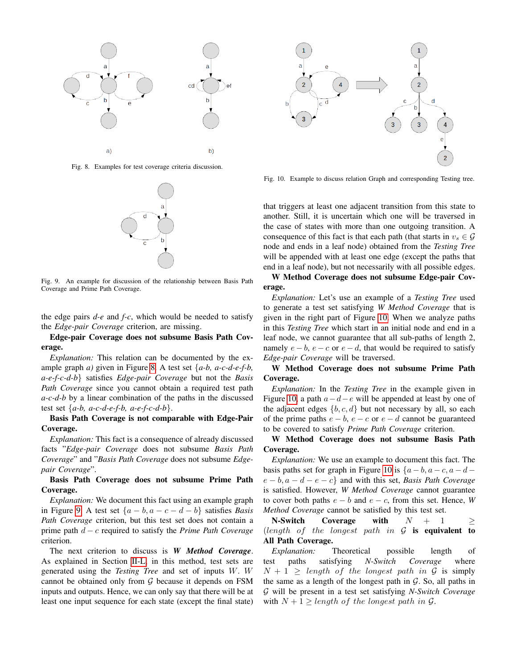

<span id="page-5-0"></span>Fig. 8. Examples for test coverage criteria discussion.



<span id="page-5-1"></span>Fig. 9. An example for discussion of the relationship between Basis Path Coverage and Prime Path Coverage.

the edge pairs *d-e* and *f-c*, which would be needed to satisfy the *Edge-pair Coverage* criterion, are missing.

# Edge-pair Coverage does not subsume Basis Path Coverage.

*Explanation:* This relation can be documented by the example graph *a)* given in Figure [8.](#page-5-0) A test set {*a-b, a-c-d-e-f-b, a-e-f-c-d-b*} satisfies *Edge-pair Coverage* but not the *Basis Path Coverage* since you cannot obtain a required test path *a-c-d-b* by a linear combination of the paths in the discussed test set  $\{a-b, a-c-d-e-f-b, a-e-f-c-d-b\}$ .

# Basis Path Coverage is not comparable with Edge-Pair Coverage.

*Explanation:* This fact is a consequence of already discussed facts "*Edge-pair Coverage* does not subsume *Basis Path Coverage*" and "*Basis Path Coverage* does not subsume *Edgepair Coverage*".

# Basis Path Coverage does not subsume Prime Path Coverage.

*Explanation:* We document this fact using an example graph in Figure [9.](#page-5-1) A test set  $\{a - b, a - c - d - b\}$  satisfies *Basis Path Coverage* criterion, but this test set does not contain a prime path d − c required to satisfy the *Prime Path Coverage* criterion.

The next criterion to discuss is *W Method Coverage*. As explained in Section [II-L,](#page-2-1) in this method, test sets are generated using the *Testing Tree* and set of inputs W. W cannot be obtained only from  $G$  because it depends on FSM inputs and outputs. Hence, we can only say that there will be at least one input sequence for each state (except the final state)



<span id="page-5-2"></span>Fig. 10. Example to discuss relation Graph and corresponding Testing tree.

that triggers at least one adjacent transition from this state to another. Still, it is uncertain which one will be traversed in the case of states with more than one outgoing transition. A consequence of this fact is that each path (that starts in  $v_s \in \mathcal{G}$ node and ends in a leaf node) obtained from the *Testing Tree* will be appended with at least one edge (except the paths that end in a leaf node), but not necessarily with all possible edges.

W Method Coverage does not subsume Edge-pair Coverage.

*Explanation:* Let's use an example of a *Testing Tree* used to generate a test set satisfying *W Method Coverage* that is given in the right part of Figure [10.](#page-5-2) When we analyze paths in this *Testing Tree* which start in an initial node and end in a leaf node, we cannot guarantee that all sub-paths of length 2, namely  $e - b$ ,  $e - c$  or  $e - d$ , that would be required to satisfy *Edge-pair Coverage* will be traversed.

W Method Coverage does not subsume Prime Path Coverage.

*Explanation:* In the *Testing Tree* in the example given in Figure [10,](#page-5-2) a path  $a-d-e$  will be appended at least by one of the adjacent edges  $\{b, c, d\}$  but not necessary by all, so each of the prime paths  $e - b$ ,  $e - c$  or  $e - d$  cannot be guaranteed to be covered to satisfy *Prime Path Coverage* criterion.

W Method Coverage does not subsume Basis Path Coverage.

*Explanation:* We use an example to document this fact. The basis paths set for graph in Figure [10](#page-5-2) is  $\{a-b, a-c, a-d-\}$ e − b, a − d − e − c} and with this set, *Basis Path Coverage* is satisfied. However, *W Method Coverage* cannot guarantee to cover both paths  $e - b$  and  $e - c$ , from this set. Hence, *W Method Coverage* cannot be satisfied by this test set.

N-Switch Coverage with  $N + 1 >$ (length of the longest path in  $G$  is equivalent to All Path Coverage.

*Explanation:* Theoretical possible length of test paths satisfying *N-Switch Coverage* where  $N + 1 \geq length \ of \ the \ longest \ path \ in \ \mathcal{G} \ is \ simply$ the same as a length of the longest path in  $G$ . So, all paths in G will be present in a test set satisfying *N-Switch Coverage* with  $N + 1 \geq length$  of the longest path in  $\mathcal{G}$ .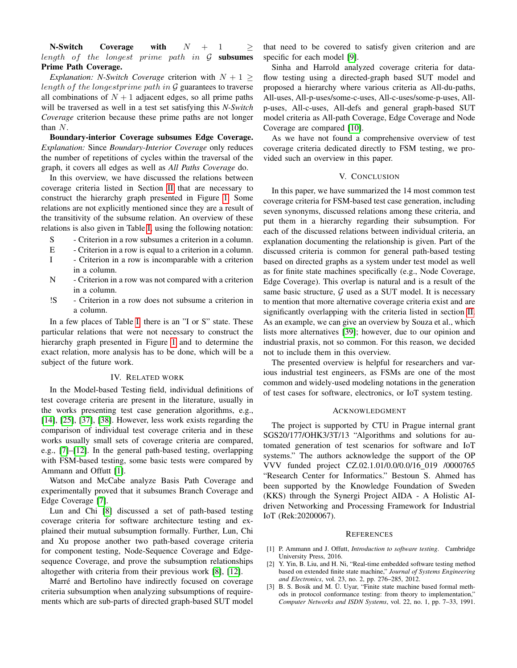N-Switch Coverage with  $N + 1 \geq$ length of the longest prime path in  $\mathcal G$  subsumes Prime Path Coverage.

*Explanation: N-Switch Coverage* criterion with  $N + 1 \geq$ length of the longestprime path in  $G$  guarantees to traverse all combinations of  $N + 1$  adjacent edges, so all prime paths will be traversed as well in a test set satisfying this *N-Switch Coverage* criterion because these prime paths are not longer than N.

Boundary-interior Coverage subsumes Edge Coverage. *Explanation:* Since *Boundary-Interior Coverage* only reduces the number of repetitions of cycles within the traversal of the graph, it covers all edges as well as *All Paths Coverage* do.

In this overview, we have discussed the relations between coverage criteria listed in Section [II](#page-1-0) that are necessary to construct the hierarchy graph presented in Figure [1.](#page-3-0) Some relations are not explicitly mentioned since they are a result of the transitivity of the subsume relation. An overview of these relations is also given in Table [I,](#page-7-25) using the following notation:

- S Criterion in a row subsumes a criterion in a column.
- E Criterion in a row is equal to a criterion in a column.
- I Criterion in a row is incomparable with a criterion in a column.
- N Criterion in a row was not compared with a criterion in a column.
- !S Criterion in a row does not subsume a criterion in a column.

In a few places of Table [I,](#page-7-25) there is an "I or S" state. These particular relations that were not necessary to construct the hierarchy graph presented in Figure [1](#page-3-0) and to determine the exact relation, more analysis has to be done, which will be a subject of the future work.

#### IV. RELATED WORK

In the Model-based Testing field, individual definitions of test coverage criteria are present in the literature, usually in the works presenting test case generation algorithms, e.g., [\[14\]](#page-7-6), [\[25\]](#page-7-16), [\[37\]](#page-7-26), [\[38\]](#page-7-27). However, less work exists regarding the comparison of individual test coverage criteria and in these works usually small sets of coverage criteria are compared, e.g., [\[7\]](#page-7-3)–[\[12\]](#page-7-4). In the general path-based testing, overlapping with FSM-based testing, some basic tests were compared by Ammann and Offutt [\[1\]](#page-6-0).

Watson and McCabe analyze Basis Path Coverage and experimentally proved that it subsumes Branch Coverage and Edge Coverage [\[7\]](#page-7-3).

Lun and Chi [\[8\]](#page-7-28) discussed a set of path-based testing coverage criteria for software architecture testing and explained their mutual subsumption formally. Further, Lun, Chi and Xu propose another two path-based coverage criteria for component testing, Node-Sequence Coverage and Edgesequence Coverage, and prove the subsumption relationships altogether with criteria from their previous work [\[8\]](#page-7-28), [\[12\]](#page-7-4).

Marré and Bertolino have indirectly focused on coverage criteria subsumption when analyzing subsumptions of requirements which are sub-parts of directed graph-based SUT model

that need to be covered to satisfy given criterion and are specific for each model [\[9\]](#page-7-29).

Sinha and Harrold analyzed coverage criteria for dataflow testing using a directed-graph based SUT model and proposed a hierarchy where various criteria as All-du-paths, All-uses, All-p-uses/some-c-uses, All-c-uses/some-p-uses, Allp-uses, All-c-uses, All-defs and general graph-based SUT model criteria as All-path Coverage, Edge Coverage and Node Coverage are compared [\[10\]](#page-7-30).

As we have not found a comprehensive overview of test coverage criteria dedicated directly to FSM testing, we provided such an overview in this paper.

## V. CONCLUSION

In this paper, we have summarized the 14 most common test coverage criteria for FSM-based test case generation, including seven synonyms, discussed relations among these criteria, and put them in a hierarchy regarding their subsumption. For each of the discussed relations between individual criteria, an explanation documenting the relationship is given. Part of the discussed criteria is common for general path-based testing based on directed graphs as a system under test model as well as for finite state machines specifically (e.g., Node Coverage, Edge Coverage). This overlap is natural and is a result of the same basic structure,  $G$  used as a SUT model. It is necessary to mention that more alternative coverage criteria exist and are significantly overlapping with the criteria listed in section [II.](#page-1-0) As an example, we can give an overview by Souza et al., which lists more alternatives [\[39\]](#page-7-31); however, due to our opinion and industrial praxis, not so common. For this reason, we decided not to include them in this overview.

The presented overview is helpful for researchers and various industrial test engineers, as FSMs are one of the most common and widely-used modeling notations in the generation of test cases for software, electronics, or IoT system testing.

#### ACKNOWLEDGMENT

The project is supported by CTU in Prague internal grant SGS20/177/OHK3/3T/13 "Algorithms and solutions for automated generation of test scenarios for software and IoT systems." The authors acknowledge the support of the OP VVV funded project CZ.02.1.01/0.0/0.0/16 019 /0000765 "Research Center for Informatics." Bestoun S. Ahmed has been supported by the Knowledge Foundation of Sweden (KKS) through the Synergi Project AIDA - A Holistic AIdriven Networking and Processing Framework for Industrial IoT (Rek:20200067).

#### **REFERENCES**

- <span id="page-6-0"></span>[1] P. Ammann and J. Offutt, *Introduction to software testing*. Cambridge University Press, 2016.
- <span id="page-6-1"></span>[2] Y. Yin, B. Liu, and H. Ni, "Real-time embedded software testing method based on extended finite state machine," *Journal of Systems Engineering and Electronics*, vol. 23, no. 2, pp. 276–285, 2012.
- <span id="page-6-2"></span>[3] B. S. Bosik and M. Ü. Uyar, "Finite state machine based formal methods in protocol conformance testing: from theory to implementation," *Computer Networks and ISDN Systems*, vol. 22, no. 1, pp. 7–33, 1991.